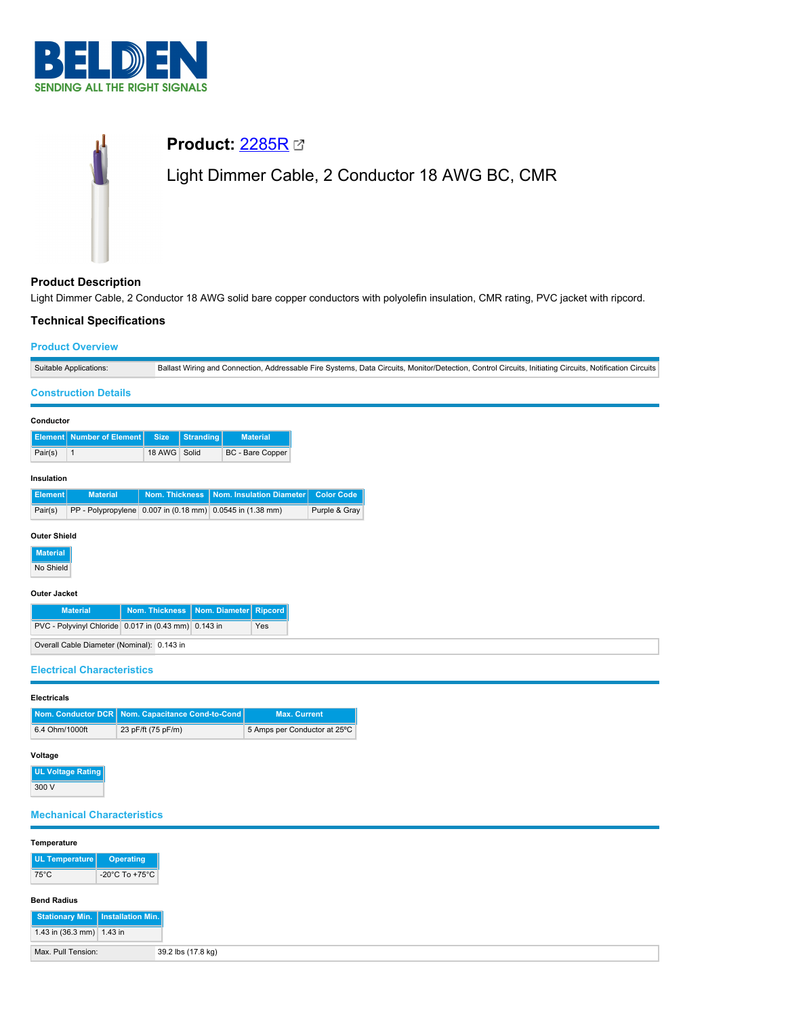

# **Product:** [2285R](https://catalog.belden.com/index.cfm?event=pd&p=PF_2285R&tab=downloads) Light Dimmer Cable, 2 Conductor 18 AWG BC, CMR

## **Product Description**

Light Dimmer Cable, 2 Conductor 18 AWG solid bare copper conductors with polyolefin insulation, CMR rating, PVC jacket with ripcord.

## **Technical Specifications**

| <b>Product Overview</b>                                           |                                                           |                  |                                                                                                                                                         |                   |  |  |  |  |
|-------------------------------------------------------------------|-----------------------------------------------------------|------------------|---------------------------------------------------------------------------------------------------------------------------------------------------------|-------------------|--|--|--|--|
| Suitable Applications:                                            |                                                           |                  | Ballast Wiring and Connection, Addressable Fire Systems, Data Circuits, Monitor/Detection, Control Circuits, Initiating Circuits, Notification Circuits |                   |  |  |  |  |
| <b>Construction Details</b>                                       |                                                           |                  |                                                                                                                                                         |                   |  |  |  |  |
| Conductor                                                         |                                                           |                  |                                                                                                                                                         |                   |  |  |  |  |
| Number of Element<br><b>Element</b>                               | <b>Size</b>                                               | <b>Stranding</b> | <b>Material</b>                                                                                                                                         |                   |  |  |  |  |
| Pair(s)<br>$\mathbf{1}$                                           | 18 AWG Solid                                              |                  | BC - Bare Copper                                                                                                                                        |                   |  |  |  |  |
| Insulation                                                        |                                                           |                  |                                                                                                                                                         |                   |  |  |  |  |
| <b>Material</b><br><b>Element</b>                                 | <b>Nom. Thickness</b>                                     |                  | Nom. Insulation Diameter                                                                                                                                | <b>Color Code</b> |  |  |  |  |
| Pair(s)                                                           | PP - Polypropylene 0.007 in (0.18 mm) 0.0545 in (1.38 mm) |                  |                                                                                                                                                         | Purple & Gray     |  |  |  |  |
| <b>Material</b><br>No Shield<br><b>Outer Jacket</b>               |                                                           |                  |                                                                                                                                                         |                   |  |  |  |  |
| <b>Material</b><br><b>Nom. Thickness</b><br>Nom. Diameter Ripcord |                                                           |                  |                                                                                                                                                         |                   |  |  |  |  |
| PVC - Polyvinyl Chloride 0.017 in (0.43 mm) 0.143 in<br>Yes       |                                                           |                  |                                                                                                                                                         |                   |  |  |  |  |
| Overall Cable Diameter (Nominal): 0.143 in                        |                                                           |                  |                                                                                                                                                         |                   |  |  |  |  |
| <b>Electrical Characteristics</b>                                 |                                                           |                  |                                                                                                                                                         |                   |  |  |  |  |
| <b>Electricals</b>                                                |                                                           |                  |                                                                                                                                                         |                   |  |  |  |  |
| Nom. Conductor DCR                                                | Nom. Capacitance Cond-to-Cond                             |                  | <b>Max. Current</b>                                                                                                                                     |                   |  |  |  |  |
| 6.4 Ohm/1000ft                                                    | 23 pF/ft (75 pF/m)                                        |                  | 5 Amps per Conductor at 25°C                                                                                                                            |                   |  |  |  |  |

## **Voltage**

| <b>UL Voltage Rating</b> |
|--------------------------|
| 300 V                    |

## **Mechanical Characteristics**

| Temperature               |                    |
|---------------------------|--------------------|
| UL Temperature            | Operating          |
| $75^{\circ}$ C            | -20°C To +75°C     |
| <b>Bend Radius</b>        |                    |
| <b>Stationary Min.</b>    | Installation Min.  |
| 1.43 in (36.3 mm) 1.43 in |                    |
| Max. Pull Tension:        | 39.2 lbs (17.8 kg) |